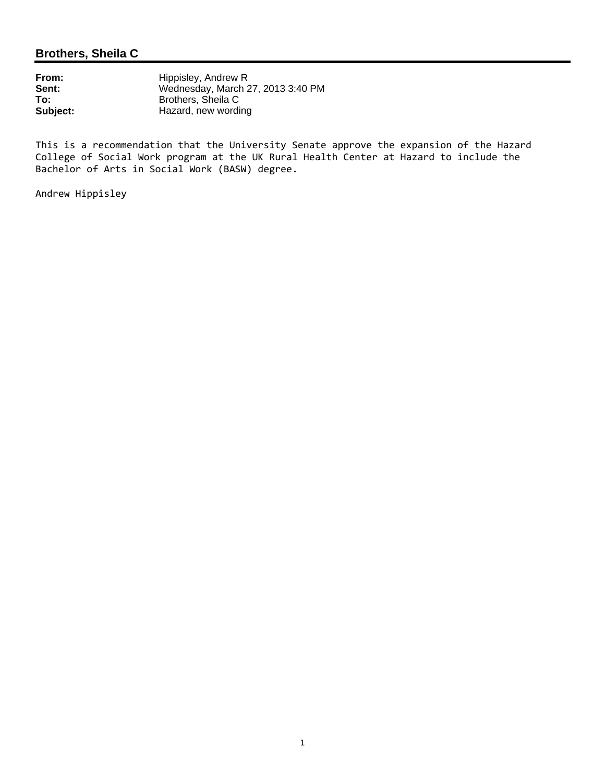# **Brothers, Sheila C**

| Hippisley, Andrew R               |
|-----------------------------------|
| Wednesday, March 27, 2013 3:40 PM |
| Brothers, Sheila C                |
| Hazard, new wording               |
|                                   |

This is a recommendation that the University Senate approve the expansion of the Hazard College of Social Work program at the UK Rural Health Center at Hazard to include the Bachelor of Arts in Social Work (BASW) degree.

Andrew Hippisley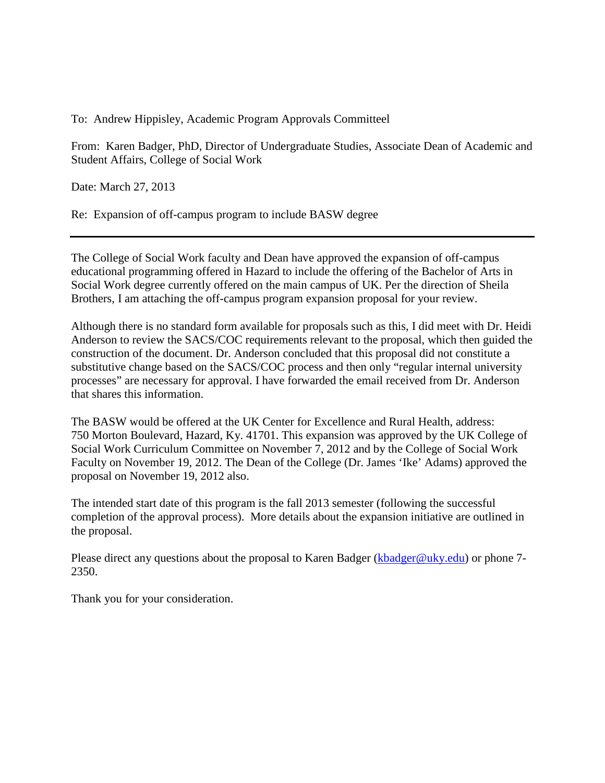To: Andrew Hippisley, Academic Program Approvals Committeel

From: Karen Badger, PhD, Director of Undergraduate Studies, Associate Dean of Academic and Student Affairs, College of Social Work

Date: March 27, 2013

Re: Expansion of off-campus program to include BASW degree

The College of Social Work faculty and Dean have approved the expansion of off-campus educational programming offered in Hazard to include the offering of the Bachelor of Arts in Social Work degree currently offered on the main campus of UK. Per the direction of Sheila Brothers, I am attaching the off-campus program expansion proposal for your review.

Although there is no standard form available for proposals such as this, I did meet with Dr. Heidi Anderson to review the SACS/COC requirements relevant to the proposal, which then guided the construction of the document. Dr. Anderson concluded that this proposal did not constitute a substitutive change based on the SACS/COC process and then only "regular internal university processes" are necessary for approval. I have forwarded the email received from Dr. Anderson that shares this information.

The BASW would be offered at the UK Center for Excellence and Rural Health, address: 750 Morton Boulevard, Hazard, Ky. 41701. This expansion was approved by the UK College of Social Work Curriculum Committee on November 7, 2012 and by the College of Social Work Faculty on November 19, 2012. The Dean of the College (Dr. James 'Ike' Adams) approved the proposal on November 19, 2012 also.

The intended start date of this program is the fall 2013 semester (following the successful completion of the approval process). More details about the expansion initiative are outlined in the proposal.

Please direct any questions about the proposal to Karen Badger [\(kbadger@uky.edu\)](mailto:kbadger@uky.edu) or phone 7-2350.

Thank you for your consideration.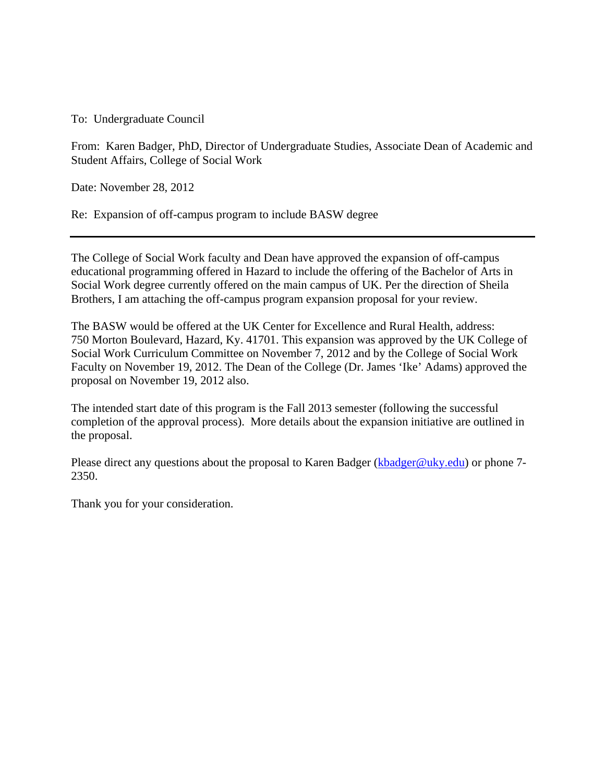To: Undergraduate Council

From: Karen Badger, PhD, Director of Undergraduate Studies, Associate Dean of Academic and Student Affairs, College of Social Work

Date: November 28, 2012

Re: Expansion of off-campus program to include BASW degree

The College of Social Work faculty and Dean have approved the expansion of off-campus educational programming offered in Hazard to include the offering of the Bachelor of Arts in Social Work degree currently offered on the main campus of UK. Per the direction of Sheila Brothers, I am attaching the off-campus program expansion proposal for your review.

The BASW would be offered at the UK Center for Excellence and Rural Health, address: 750 Morton Boulevard, Hazard, Ky. 41701. This expansion was approved by the UK College of Social Work Curriculum Committee on November 7, 2012 and by the College of Social Work Faculty on November 19, 2012. The Dean of the College (Dr. James 'Ike' Adams) approved the proposal on November 19, 2012 also.

The intended start date of this program is the Fall 2013 semester (following the successful completion of the approval process). More details about the expansion initiative are outlined in the proposal.

Please direct any questions about the proposal to Karen Badger (kbadger@uky.edu) or phone 7-2350.

Thank you for your consideration.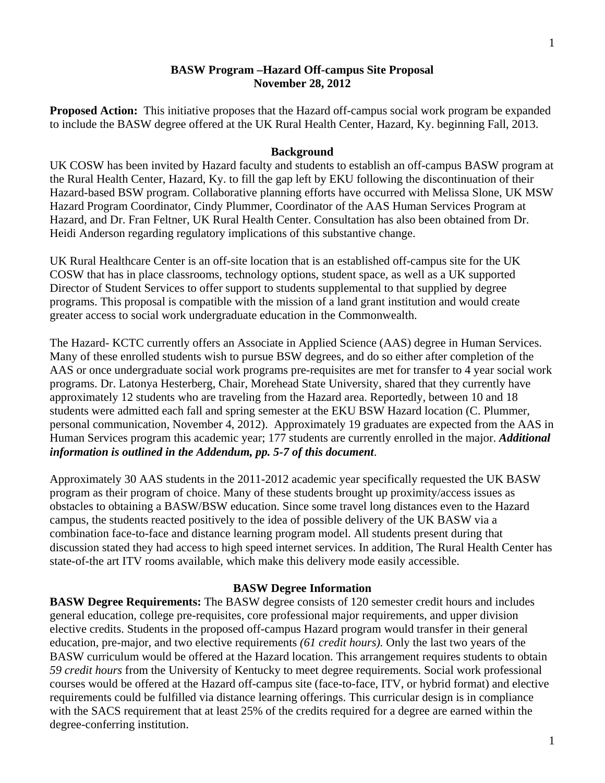#### **BASW Program –Hazard Off-campus Site Proposal November 28, 2012**

**Proposed Action:** This initiative proposes that the Hazard off-campus social work program be expanded to include the BASW degree offered at the UK Rural Health Center, Hazard, Ky. beginning Fall, 2013.

#### **Background**

UK COSW has been invited by Hazard faculty and students to establish an off-campus BASW program at the Rural Health Center, Hazard, Ky. to fill the gap left by EKU following the discontinuation of their Hazard-based BSW program. Collaborative planning efforts have occurred with Melissa Slone, UK MSW Hazard Program Coordinator, Cindy Plummer, Coordinator of the AAS Human Services Program at Hazard, and Dr. Fran Feltner, UK Rural Health Center. Consultation has also been obtained from Dr. Heidi Anderson regarding regulatory implications of this substantive change.

UK Rural Healthcare Center is an off-site location that is an established off-campus site for the UK COSW that has in place classrooms, technology options, student space, as well as a UK supported Director of Student Services to offer support to students supplemental to that supplied by degree programs. This proposal is compatible with the mission of a land grant institution and would create greater access to social work undergraduate education in the Commonwealth.

The Hazard- KCTC currently offers an Associate in Applied Science (AAS) degree in Human Services. Many of these enrolled students wish to pursue BSW degrees, and do so either after completion of the AAS or once undergraduate social work programs pre-requisites are met for transfer to 4 year social work programs. Dr. Latonya Hesterberg, Chair, Morehead State University, shared that they currently have approximately 12 students who are traveling from the Hazard area. Reportedly, between 10 and 18 students were admitted each fall and spring semester at the EKU BSW Hazard location (C. Plummer, personal communication, November 4, 2012). Approximately 19 graduates are expected from the AAS in Human Services program this academic year; 177 students are currently enrolled in the major. *Additional information is outlined in the Addendum, pp. 5-7 of this document*.

Approximately 30 AAS students in the 2011-2012 academic year specifically requested the UK BASW program as their program of choice. Many of these students brought up proximity/access issues as obstacles to obtaining a BASW/BSW education. Since some travel long distances even to the Hazard campus, the students reacted positively to the idea of possible delivery of the UK BASW via a combination face-to-face and distance learning program model. All students present during that discussion stated they had access to high speed internet services. In addition, The Rural Health Center has state-of-the art ITV rooms available, which make this delivery mode easily accessible.

#### **BASW Degree Information**

**BASW Degree Requirements:** The BASW degree consists of 120 semester credit hours and includes general education, college pre-requisites, core professional major requirements, and upper division elective credits. Students in the proposed off-campus Hazard program would transfer in their general education, pre-major, and two elective requirements *(61 credit hours).* Only the last two years of the BASW curriculum would be offered at the Hazard location. This arrangement requires students to obtain *59 credit hours* from the University of Kentucky to meet degree requirements. Social work professional courses would be offered at the Hazard off-campus site (face-to-face, ITV, or hybrid format) and elective requirements could be fulfilled via distance learning offerings. This curricular design is in compliance with the SACS requirement that at least 25% of the credits required for a degree are earned within the degree-conferring institution.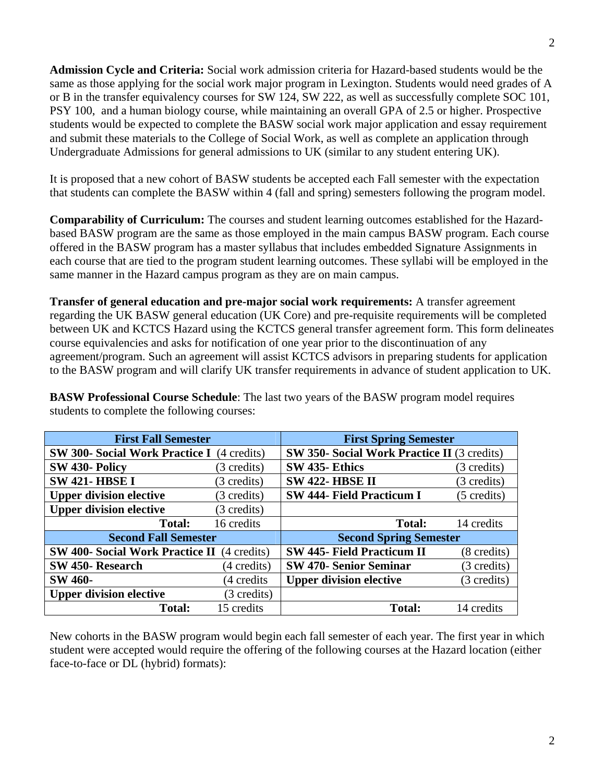**Admission Cycle and Criteria:** Social work admission criteria for Hazard-based students would be the same as those applying for the social work major program in Lexington. Students would need grades of A or B in the transfer equivalency courses for SW 124, SW 222, as well as successfully complete SOC 101, PSY 100, and a human biology course, while maintaining an overall GPA of 2.5 or higher. Prospective students would be expected to complete the BASW social work major application and essay requirement and submit these materials to the College of Social Work, as well as complete an application through Undergraduate Admissions for general admissions to UK (similar to any student entering UK).

It is proposed that a new cohort of BASW students be accepted each Fall semester with the expectation that students can complete the BASW within 4 (fall and spring) semesters following the program model.

**Comparability of Curriculum:** The courses and student learning outcomes established for the Hazardbased BASW program are the same as those employed in the main campus BASW program. Each course offered in the BASW program has a master syllabus that includes embedded Signature Assignments in each course that are tied to the program student learning outcomes. These syllabi will be employed in the same manner in the Hazard campus program as they are on main campus.

**Transfer of general education and pre-major social work requirements:** A transfer agreement regarding the UK BASW general education (UK Core) and pre-requisite requirements will be completed between UK and KCTCS Hazard using the KCTCS general transfer agreement form. This form delineates course equivalencies and asks for notification of one year prior to the discontinuation of any agreement/program. Such an agreement will assist KCTCS advisors in preparing students for application to the BASW program and will clarify UK transfer requirements in advance of student application to UK.

**BASW Professional Course Schedule**: The last two years of the BASW program model requires students to complete the following courses:

| <b>First Fall Semester</b>                        |             | <b>First Spring Semester</b>                       |                       |
|---------------------------------------------------|-------------|----------------------------------------------------|-----------------------|
| <b>SW 300- Social Work Practice I</b> (4 credits) |             | <b>SW 350- Social Work Practice II (3 credits)</b> |                       |
| SW 430- Policy                                    | (3 credits) | SW 435-Ethics                                      | (3 credits)           |
| <b>SW 421-HBSE I</b>                              | (3 credits) | <b>SW 422- HBSE II</b>                             | (3 credits)           |
| <b>Upper division elective</b>                    | (3 credits) | <b>SW 444- Field Practicum I</b>                   | (5 credits)           |
| <b>Upper division elective</b>                    | (3 credits) |                                                    |                       |
| <b>Total:</b>                                     | 16 credits  | <b>Total:</b>                                      | 14 credits            |
| <b>Second Fall Semester</b>                       |             | <b>Second Spring Semester</b>                      |                       |
| <b>SW 400- Social Work Practice II</b>            | (4 credits) | <b>SW 445- Field Practicum II</b>                  | $(8 \text{ credits})$ |
| SW 450-Research                                   | (4 credits) | <b>SW 470- Senior Seminar</b>                      | (3 credits)           |
| <b>SW 460-</b>                                    | (4 credits) | <b>Upper division elective</b>                     | (3 credits)           |
| <b>Upper division elective</b>                    | (3 credits) |                                                    |                       |
| <b>Total:</b>                                     | 15 credits  | <b>Total:</b>                                      | 14 credits            |

New cohorts in the BASW program would begin each fall semester of each year. The first year in which student were accepted would require the offering of the following courses at the Hazard location (either face-to-face or DL (hybrid) formats):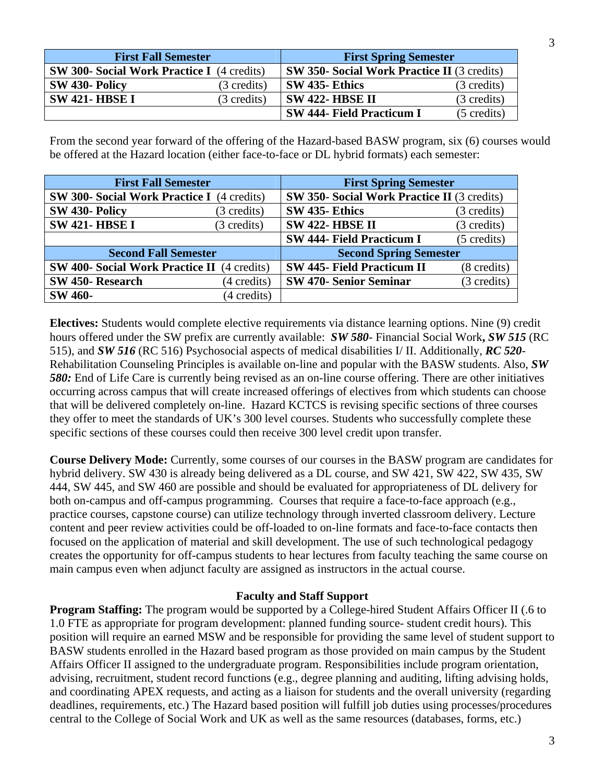| <b>First Fall Semester</b>                        |                       | <b>First Spring Semester</b>                       |                       |
|---------------------------------------------------|-----------------------|----------------------------------------------------|-----------------------|
| <b>SW 300- Social Work Practice I</b> (4 credits) |                       | <b>SW 350- Social Work Practice II</b> (3 credits) |                       |
| SW 430- Policy                                    | $(3 \text{ credits})$ | <b>SW 435-Ethics</b>                               | (3 credits)           |
| <b>SW 421- HBSE I</b>                             | (3 credits)           | <b>SW 422- HBSE II</b>                             | $(3 \text{ credits})$ |
|                                                   |                       | <b>SW 444- Field Practicum I</b>                   | $(5 \text{ credits})$ |

From the second year forward of the offering of the Hazard-based BASW program, six (6) courses would be offered at the Hazard location (either face-to-face or DL hybrid formats) each semester:

| <b>First Fall Semester</b>                         | <b>First Spring Semester</b>                              |
|----------------------------------------------------|-----------------------------------------------------------|
| <b>SW 300- Social Work Practice I</b> (4 credits)  | <b>SW 350- Social Work Practice II</b> (3 credits)        |
| SW 430- Policy<br>(3 credits)                      | SW 435-Ethics<br>(3 credits)                              |
| <b>SW 421-HBSE I</b><br>(3 credits)                | <b>SW 422- HBSE II</b><br>(3 credits)                     |
|                                                    | <b>SW 444- Field Practicum I</b><br>$(5 \text{ credits})$ |
| <b>Second Fall Semester</b>                        | <b>Second Spring Semester</b>                             |
| <b>SW 400- Social Work Practice II</b> (4 credits) | <b>SW 445- Field Practicum II</b><br>(8 credits)          |
| SW 450-Research<br>(4 credits)                     | <b>SW 470- Senior Seminar</b><br>(3 credits)              |
| <b>SW 460-</b><br>(4 credits)                      |                                                           |

**Electives:** Students would complete elective requirements via distance learning options. Nine (9) credit hours offered under the SW prefix are currently available: *SW 580*- Financial Social Work**,** *SW 515* (RC 515), and *SW 516* (RC 516) Psychosocial aspects of medical disabilities I/ II. Additionally, *RC 520*- Rehabilitation Counseling Principles is available on-line and popular with the BASW students. Also, *SW 580:* End of Life Care is currently being revised as an on-line course offering. There are other initiatives occurring across campus that will create increased offerings of electives from which students can choose that will be delivered completely on-line. Hazard KCTCS is revising specific sections of three courses they offer to meet the standards of UK's 300 level courses. Students who successfully complete these specific sections of these courses could then receive 300 level credit upon transfer.

**Course Delivery Mode:** Currently, some courses of our courses in the BASW program are candidates for hybrid delivery. SW 430 is already being delivered as a DL course, and SW 421, SW 422, SW 435, SW 444, SW 445, and SW 460 are possible and should be evaluated for appropriateness of DL delivery for both on-campus and off-campus programming. Courses that require a face-to-face approach (e.g., practice courses, capstone course) can utilize technology through inverted classroom delivery. Lecture content and peer review activities could be off-loaded to on-line formats and face-to-face contacts then focused on the application of material and skill development. The use of such technological pedagogy creates the opportunity for off-campus students to hear lectures from faculty teaching the same course on main campus even when adjunct faculty are assigned as instructors in the actual course.

### **Faculty and Staff Support**

**Program Staffing:** The program would be supported by a College-hired Student Affairs Officer II (.6 to 1.0 FTE as appropriate for program development: planned funding source- student credit hours). This position will require an earned MSW and be responsible for providing the same level of student support to BASW students enrolled in the Hazard based program as those provided on main campus by the Student Affairs Officer II assigned to the undergraduate program. Responsibilities include program orientation, advising, recruitment, student record functions (e.g., degree planning and auditing, lifting advising holds, and coordinating APEX requests, and acting as a liaison for students and the overall university (regarding deadlines, requirements, etc.) The Hazard based position will fulfill job duties using processes/procedures central to the College of Social Work and UK as well as the same resources (databases, forms, etc.)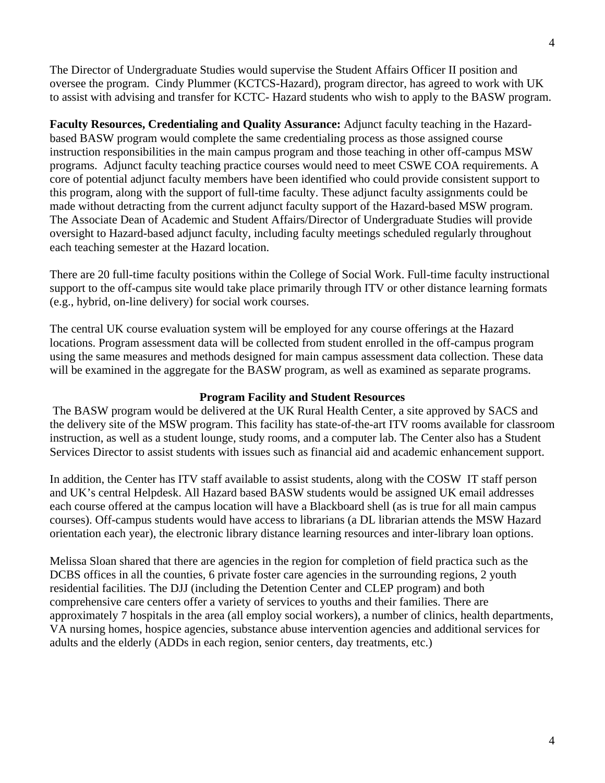The Director of Undergraduate Studies would supervise the Student Affairs Officer II position and oversee the program. Cindy Plummer (KCTCS-Hazard), program director, has agreed to work with UK to assist with advising and transfer for KCTC- Hazard students who wish to apply to the BASW program.

**Faculty Resources, Credentialing and Quality Assurance:** Adjunct faculty teaching in the Hazardbased BASW program would complete the same credentialing process as those assigned course instruction responsibilities in the main campus program and those teaching in other off-campus MSW programs. Adjunct faculty teaching practice courses would need to meet CSWE COA requirements. A core of potential adjunct faculty members have been identified who could provide consistent support to this program, along with the support of full-time faculty. These adjunct faculty assignments could be made without detracting from the current adjunct faculty support of the Hazard-based MSW program. The Associate Dean of Academic and Student Affairs/Director of Undergraduate Studies will provide oversight to Hazard-based adjunct faculty, including faculty meetings scheduled regularly throughout each teaching semester at the Hazard location.

There are 20 full-time faculty positions within the College of Social Work. Full-time faculty instructional support to the off-campus site would take place primarily through ITV or other distance learning formats (e.g., hybrid, on-line delivery) for social work courses.

The central UK course evaluation system will be employed for any course offerings at the Hazard locations. Program assessment data will be collected from student enrolled in the off-campus program using the same measures and methods designed for main campus assessment data collection. These data will be examined in the aggregate for the BASW program, as well as examined as separate programs.

### **Program Facility and Student Resources**

The BASW program would be delivered at the UK Rural Health Center, a site approved by SACS and the delivery site of the MSW program. This facility has state-of-the-art ITV rooms available for classroom instruction, as well as a student lounge, study rooms, and a computer lab. The Center also has a Student Services Director to assist students with issues such as financial aid and academic enhancement support.

In addition, the Center has ITV staff available to assist students, along with the COSW IT staff person and UK's central Helpdesk. All Hazard based BASW students would be assigned UK email addresses each course offered at the campus location will have a Blackboard shell (as is true for all main campus courses). Off-campus students would have access to librarians (a DL librarian attends the MSW Hazard orientation each year), the electronic library distance learning resources and inter-library loan options.

Melissa Sloan shared that there are agencies in the region for completion of field practica such as the DCBS offices in all the counties, 6 private foster care agencies in the surrounding regions, 2 youth residential facilities. The DJJ (including the Detention Center and CLEP program) and both comprehensive care centers offer a variety of services to youths and their families. There are approximately 7 hospitals in the area (all employ social workers), a number of clinics, health departments, VA nursing homes, hospice agencies, substance abuse intervention agencies and additional services for adults and the elderly (ADDs in each region, senior centers, day treatments, etc.)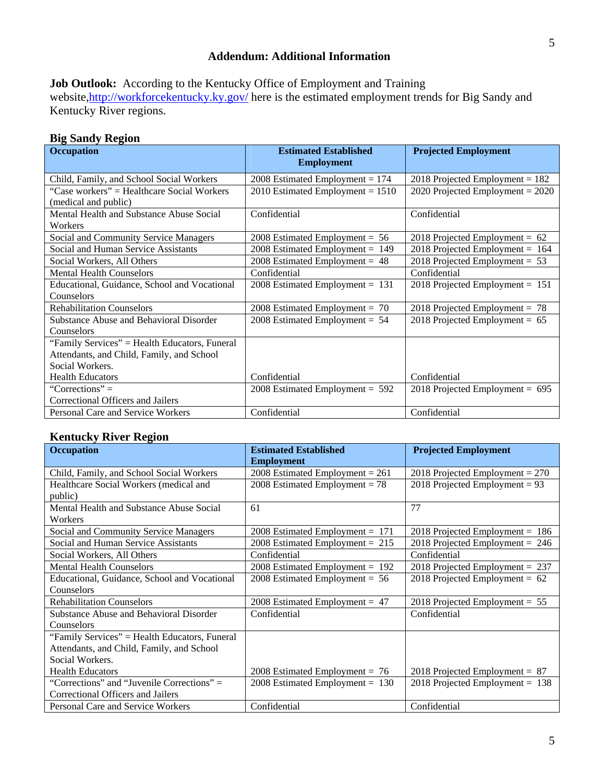## **Addendum: Additional Information**

Job Outlook: According to the Kentucky Office of Employment and Training website,http://workforcekentucky.ky.gov/ here is the estimated employment trends for Big Sandy and Kentucky River regions.

# **Big Sandy Region**

| <b>Occupation</b>                              | <b>Estimated Established</b><br><b>Employment</b> | <b>Projected Employment</b>        |
|------------------------------------------------|---------------------------------------------------|------------------------------------|
| Child, Family, and School Social Workers       | 2008 Estimated Employment = $174$                 | 2018 Projected Employment = $182$  |
| "Case workers" = Healthcare Social Workers     | 2010 Estimated Employment = $1510$                | 2020 Projected Employment = $2020$ |
| (medical and public)                           |                                                   |                                    |
| Mental Health and Substance Abuse Social       | Confidential                                      | Confidential                       |
| Workers                                        |                                                   |                                    |
| Social and Community Service Managers          | 2008 Estimated Employment = $56$                  | 2018 Projected Employment = $62$   |
| Social and Human Service Assistants            | 2008 Estimated Employment = $149$                 | 2018 Projected Employment = $164$  |
| Social Workers, All Others                     | $2008$ Estimated Employment = 48                  | 2018 Projected Employment = $53$   |
| <b>Mental Health Counselors</b>                | Confidential                                      | Confidential                       |
| Educational, Guidance, School and Vocational   | $2008$ Estimated Employment = 131                 | 2018 Projected Employment = $151$  |
| Counselors                                     |                                                   |                                    |
| <b>Rehabilitation Counselors</b>               | 2008 Estimated Employment = $70$                  | 2018 Projected Employment = $78$   |
| <b>Substance Abuse and Behavioral Disorder</b> | 2008 Estimated Employment = $54$                  | 2018 Projected Employment = $65$   |
| Counselors                                     |                                                   |                                    |
| "Family Services" = Health Educators, Funeral  |                                                   |                                    |
| Attendants, and Child, Family, and School      |                                                   |                                    |
| Social Workers.                                |                                                   |                                    |
| <b>Health Educators</b>                        | Confidential                                      | Confidential                       |
| "Corrections" $=$                              | 2008 Estimated Employment = $592$                 | 2018 Projected Employment = $695$  |
| Correctional Officers and Jailers              |                                                   |                                    |
| Personal Care and Service Workers              | Confidential                                      | Confidential                       |

# **Kentucky River Region**

| <b>Occupation</b>                             | <b>Estimated Established</b>      | <b>Projected Employment</b>       |
|-----------------------------------------------|-----------------------------------|-----------------------------------|
|                                               | <b>Employment</b>                 |                                   |
| Child, Family, and School Social Workers      | 2008 Estimated Employment = $261$ | 2018 Projected Employment = $270$ |
| Healthcare Social Workers (medical and        | 2008 Estimated Employment = $78$  | 2018 Projected Employment = $93$  |
| public)                                       |                                   |                                   |
| Mental Health and Substance Abuse Social      | 61                                | 77                                |
| Workers                                       |                                   |                                   |
| <b>Social and Community Service Managers</b>  | 2008 Estimated Employment = $171$ | $2018$ Projected Employment = 186 |
| <b>Social and Human Service Assistants</b>    | 2008 Estimated Employment = $215$ | 2018 Projected Employment = $246$ |
| Social Workers, All Others                    | Confidential                      | Confidential                      |
| <b>Mental Health Counselors</b>               | $2008$ Estimated Employment = 192 | 2018 Projected Employment = $237$ |
| Educational, Guidance, School and Vocational  | 2008 Estimated Employment = $56$  | 2018 Projected Employment = $62$  |
| Counselors                                    |                                   |                                   |
| <b>Rehabilitation Counselors</b>              | 2008 Estimated Employment = $47$  | 2018 Projected Employment = $55$  |
| Substance Abuse and Behavioral Disorder       | Confidential                      | Confidential                      |
| Counselors                                    |                                   |                                   |
| "Family Services" = Health Educators, Funeral |                                   |                                   |
| Attendants, and Child, Family, and School     |                                   |                                   |
| Social Workers.                               |                                   |                                   |
| <b>Health Educators</b>                       | 2008 Estimated Employment = $76$  | 2018 Projected Employment = $87$  |
| "Corrections" and "Juvenile Corrections" =    | $2008$ Estimated Employment = 130 | 2018 Projected Employment = $138$ |
| Correctional Officers and Jailers             |                                   |                                   |
| Personal Care and Service Workers             | Confidential                      | Confidential                      |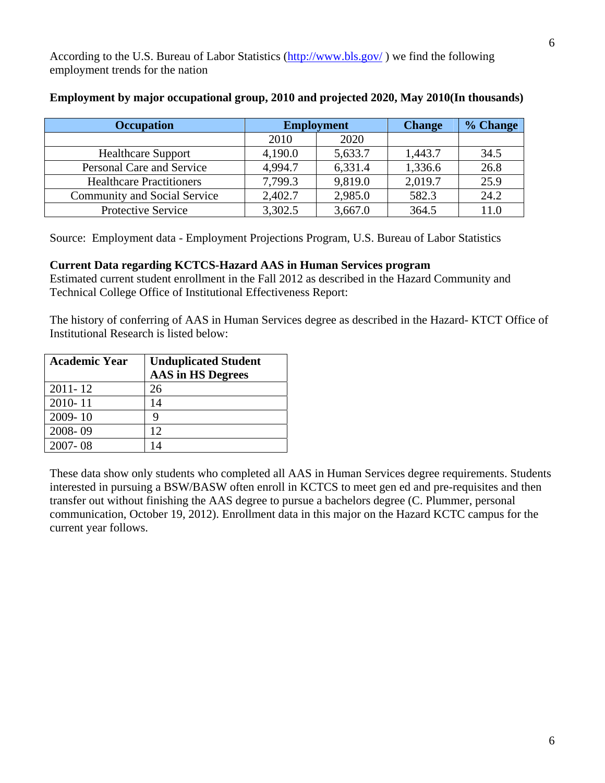According to the U.S. Bureau of Labor Statistics (http://www.bls.gov/ ) we find the following employment trends for the nation

| <b>Occupation</b>                   | <b>Employment</b> |         | <b>Change</b> | % Change |
|-------------------------------------|-------------------|---------|---------------|----------|
|                                     | 2010              | 2020    |               |          |
| <b>Healthcare Support</b>           | 4,190.0           | 5,633.7 | 1,443.7       | 34.5     |
| Personal Care and Service           | 4.994.7           | 6,331.4 | 1,336.6       | 26.8     |
| <b>Healthcare Practitioners</b>     | 7,799.3           | 9,819.0 | 2,019.7       | 25.9     |
| <b>Community and Social Service</b> | 2,402.7           | 2,985.0 | 582.3         | 24.2     |
| <b>Protective Service</b>           | 3,302.5           | 3,667.0 | 364.5         | 11.0     |

## **Employment by major occupational group, 2010 and projected 2020, May 2010(In thousands)**

Source: Employment data - Employment Projections Program, U.S. Bureau of Labor Statistics

### **Current Data regarding KCTCS-Hazard AAS in Human Services program**

Estimated current student enrollment in the Fall 2012 as described in the Hazard Community and Technical College Office of Institutional Effectiveness Report:

The history of conferring of AAS in Human Services degree as described in the Hazard- KTCT Office of Institutional Research is listed below:

| <b>Academic Year</b> | <b>Unduplicated Student</b> |
|----------------------|-----------------------------|
|                      | <b>AAS</b> in HS Degrees    |
| $2011 - 12$          | 26                          |
| 2010-11              | 14                          |
| 2009-10              | Q                           |
| 2008-09              | 12                          |
| $2007 - 08$          | $\overline{A}$              |

These data show only students who completed all AAS in Human Services degree requirements. Students interested in pursuing a BSW/BASW often enroll in KCTCS to meet gen ed and pre-requisites and then transfer out without finishing the AAS degree to pursue a bachelors degree (C. Plummer, personal communication, October 19, 2012). Enrollment data in this major on the Hazard KCTC campus for the current year follows.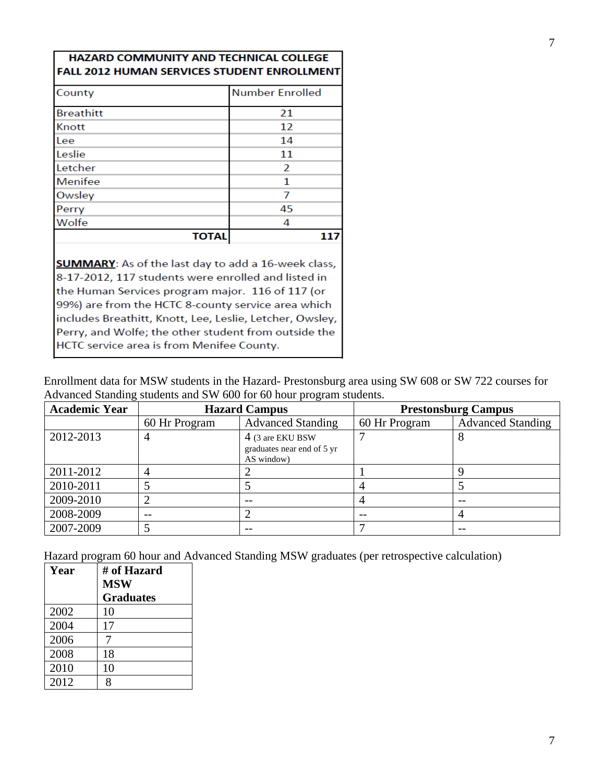| FALL 2012 HUMAN SERVICES STUDENT ENROLLMENT |              |                        |
|---------------------------------------------|--------------|------------------------|
| County                                      |              | <b>Number Enrolled</b> |
| <b>Breathitt</b>                            |              | 21                     |
| Knott                                       |              | 12                     |
| Lee                                         |              | 14                     |
| Leslie                                      |              | 11                     |
| Letcher                                     |              | 2                      |
| Menifee                                     |              | 1                      |
| Owsley                                      |              |                        |
| Perry                                       |              | 45                     |
| Wolfe                                       |              | 4                      |
|                                             | <b>TOTAL</b> | 117                    |

HAZARD COMMUNITY AND TECHNICAL COLLEGE

**SUMMARY**: As of the last day to add a 16-week class, 8-17-2012, 117 students were enrolled and listed in the Human Services program major. 116 of 117 (or 99%) are from the HCTC 8-county service area which includes Breathitt, Knott, Lee, Leslie, Letcher, Owsley, Perry, and Wolfe; the other student from outside the HCTC service area is from Menifee County.

Enrollment data for MSW students in the Hazard- Prestonsburg area using SW 608 or SW 722 courses for Advanced Standing students and SW 600 for 60 hour program students.

| <b>Academic Year</b> | <b>Hazard Campus</b> |                                                              |               | <b>Prestonsburg Campus</b> |
|----------------------|----------------------|--------------------------------------------------------------|---------------|----------------------------|
|                      | 60 Hr Program        | <b>Advanced Standing</b>                                     | 60 Hr Program | <b>Advanced Standing</b>   |
| 2012-2013            |                      | 4 (3 are EKU BSW<br>graduates near end of 5 yr<br>AS window) |               | 8                          |
| 2011-2012            |                      |                                                              |               |                            |
| 2010-2011            |                      |                                                              |               |                            |
| 2009-2010            |                      |                                                              |               |                            |
| 2008-2009            |                      |                                                              |               |                            |
| 2007-2009            |                      |                                                              |               |                            |

Hazard program 60 hour and Advanced Standing MSW graduates (per retrospective calculation)

| Year | # of Hazard      |
|------|------------------|
|      | <b>MSW</b>       |
|      | <b>Graduates</b> |
| 2002 | 10               |
| 2004 | 17               |
| 2006 |                  |
| 2008 | 18               |
| 2010 | 10               |
| 2012 | Q                |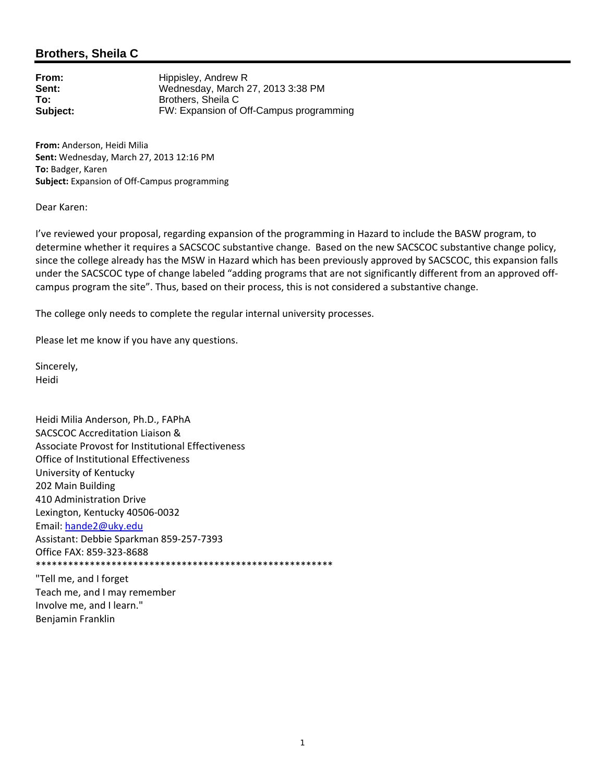## **Brothers, Sheila C**

| From:    | Hippisley, Andrew R                     |
|----------|-----------------------------------------|
| Sent:    | Wednesday, March 27, 2013 3:38 PM       |
| To:      | Brothers, Sheila C                      |
| Subject: | FW: Expansion of Off-Campus programming |

**From:** Anderson, Heidi Milia **Sent:** Wednesday, March 27, 2013 12:16 PM **To:** Badger, Karen **Subject:** Expansion of Off‐Campus programming

Dear Karen:

I've reviewed your proposal, regarding expansion of the programming in Hazard to include the BASW program, to determine whether it requires a SACSCOC substantive change. Based on the new SACSCOC substantive change policy, since the college already has the MSW in Hazard which has been previously approved by SACSCOC, this expansion falls under the SACSCOC type of change labeled "adding programs that are not significantly different from an approved off‐ campus program the site". Thus, based on their process, this is not considered a substantive change.

The college only needs to complete the regular internal university processes.

Please let me know if you have any questions.

Sincerely, Heidi

Heidi Milia Anderson, Ph.D., FAPhA SACSCOC Accreditation Liaison & Associate Provost for Institutional Effectiveness Office of Institutional Effectiveness University of Kentucky 202 Main Building 410 Administration Drive Lexington, Kentucky 40506‐0032 Email: hande2@uky.edu Assistant: Debbie Sparkman 859‐257‐7393 Office FAX: 859‐323‐8688 \*\*\*\*\*\*\*\*\*\*\*\*\*\*\*\*\*\*\*\*\*\*\*\*\*\*\*\*\*\*\*\*\*\*\*\*\*\*\*\*\*\*\*\*\*\*\*\*\*\*\*\*\*\*\*

"Tell me, and I forget Teach me, and I may remember Involve me, and I learn." Benjamin Franklin